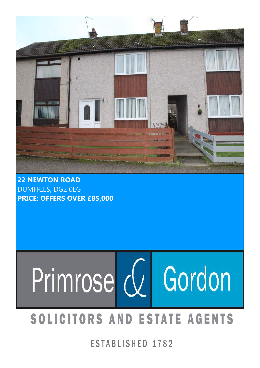

**22 NEWTON ROAD** DUMFRIES, DG2 0EG **PRICE: OFFERS OVER £85,000**

555 555 5555

#### Name Name Name Name I 555 555 5555 55 555 555 5555 555 555 5555 555 555 555 555 5555 5<br>5<br>5 555 555 5555 555 555 5555

# SOLICITORS AND ESTATE AGENTS

ESTABLISHED 1782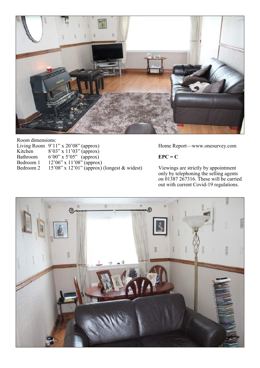

Room dimensions:

Living Room 9'11" x 20'08" (approx) Home Report—www.onesurvey.com Kitchen 8'03" x 11'03" (approx) Bathroom  $6'00''$  x  $5'05''$  (approx) **EPC** = **C** Bedroom 1 12'06" x 11'08" (approx) Bedroom 2 15'08" x 12'01" (approx) (longest & widest) Viewings are strictly by appointment

Viewings are strictly by appointment<br>only by telephoning the selling agents on 01387 267316. These will be carried out with current Covid-19 regulations.

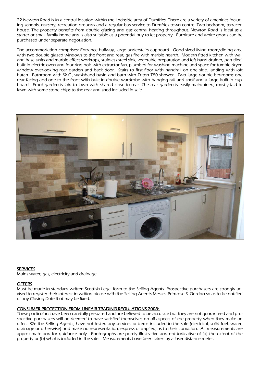22 Newton Road is in a central location within the Lochside area of Dumfries. There are a variety of amenities including schools, nursery, recreation grounds and a regular bus service to Dumfries town centre. Two bedroom, terraced house. The property benefits from double glazing and gas central heating throughout. Newton Road is ideal as a starter or small family home and is also suitable as a potential buy to let property. Furniture and white goods can be purchased under separate negotiation.

The accommodation comprises: Entrance hallway, large understairs cupboard. Good sized living room/dining area with two double glazed windows to the front and rear, gas fire with marble hearth. Modern fitted kitchen with wall and base units and marble-effect worktops, stainless steel sink, vegetable preparation and left hand drainer, part tiled, built-in electric oven and four ring hob with extractor fan, plumbed for washing machine and space for tumble dryer, window overlooking rear garden and back door. Stairs to first floor with handrail on one side, landing with loft hatch. Bathroom with W.C., washhand basin and bath with Triton T80 shower. Two large double bedrooms one rear facing and one to the front with built-in double wardrobe with hanging rail and shelf and a large built-in cupboard. Front garden is laid to lawn with shared close to rear. The rear garden is easily maintained, mostly laid to lawn with some stone chips to the rear and shed included in sale.



#### **SERVICES**

Mains water, gas, electricity and drainage.

#### **OFFERS**

Must be made in standard written Scottish Legal form to the Selling Agents. Prospective purchasers are strongly advised to register their interest in writing please with the Selling Agents Messrs. Primrose & Gordon so as to be notified of any Closing Date that may be fixed.

#### CONSUMER PROTECTION FROM UNFAIR TRADING REGULATIONS 2008:-

These particulars have been carefully prepared and are believed to be accurate but they are not guaranteed and prospective purchasers will be deemed to have satisfied themselves on all aspects of the property when they make an offer. We the Selling Agents, have not tested any services or items included in the sale (electrical, solid fuel, water, drainage or otherwise) and make no representation, express or implied, as to their condition. All measurements are approximate and for guidance only. Photographs are purely illustrative and not indicative of (a) the extent of the property or (b) what is included in the sale. Measurements have been taken by a laser distance meter.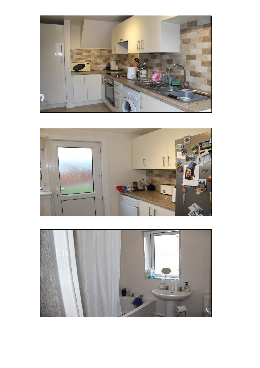



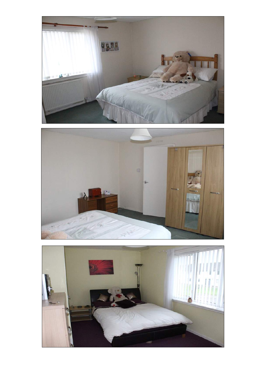



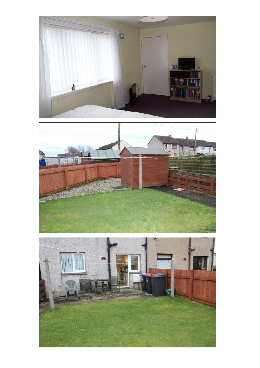



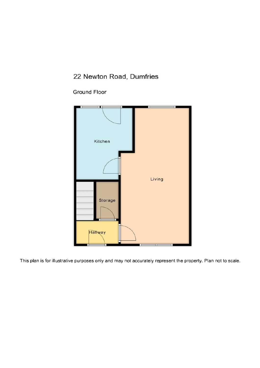### 22 Newton Road, Dumfries

#### Ground Floor



This plan is for illustrative purposes only and may not accurately represent the property. Plan not to scale.